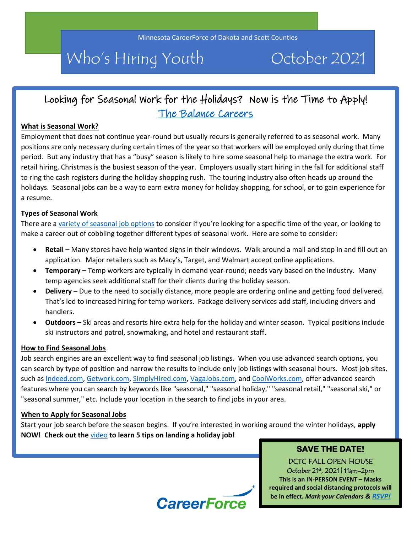# Who's Hiring Youth October 2021

# Looking for Seasonal Work for the Holidays? Now is the Time to Apply! [The Balance Careers](https://www.thebalancecareers.com/how-to-find-a-seasonal-job-2063927)

#### **What is Seasonal Work?**

Employment that does not continue year-round but usually recurs is generally referred to as seasonal work. Many positions are only necessary during certain times of the year so that workers will be employed only during that time period. But any industry that has a "busy" season is likely to hire some seasonal help to manage the extra work. For retail hiring, Christmas is the busiest season of the year. Employers usually start hiring in the fall for additional staff to ring the cash registers during the holiday shopping rush. The touring industry also often heads up around the holidays. Seasonal jobs can be a way to earn extra money for holiday shopping, for school, or to gain experience for a resume.

#### **Types of Seasonal Work**

There are a [variety of seasonal job options](https://www.thebalancecareers.com/great-seasonal-jobs-2059647) to consider if you're looking for a specific time of the year, or looking to make a career out of cobbling together different types of seasonal work. Here are some to consider:

- **Retail –** Many stores have help wanted signs in their windows. Walk around a mall and stop in and fill out an application. Major retailers such as Macy's, Target, and Walmart accept online applications.
- **Temporary –** Temp workers are typically in demand year-round; needs vary based on the industry. Many temp agencies seek additional staff for their clients during the holiday season.
- **Delivery** Due to the need to socially distance, more people are ordering online and getting food delivered. That's led to increased hiring for temp workers. Package delivery services add staff, including drivers and handlers.
- **Outdoors –** Ski areas and resorts hire extra help for the holiday and winter season. Typical positions include ski instructors and patrol, snowmaking, and hotel and restaurant staff.

#### **How to Find Seasonal Jobs**

Job search engines are an excellent way to find seasonal job listings. When you use advanced search options, you can search by type of position and narrow the results to include only job listings with seasonal hours. Most job sites, such as [Indeed.com,](http://indeed.com/) [Getwork.com,](https://getwork.com/) [SimplyHired.com,](http://www.simplyhired.com/) [VagaJobs.com,](https://vagajobs.com/) and [CoolWorks.com,](https://www.coolworks.com/) offer advanced search features where you can search by keywords like "seasonal," "seasonal holiday," "seasonal retail," "seasonal ski," or "seasonal summer," etc. Include your location in the search to find jobs in your area.

#### **When to Apply for Seasonal Jobs**

Start your job search before the season begins. If you're interested in working around the winter holidays, **apply NOW! Check out the** [video](https://www.youtube.com/watch?v=67rg7MAviRw) **to learn 5 tips on landing a holiday job!**

# **SAVE THE DATE!**

DCTC FALL OPEN HOUSE October 21st, 2021 | 11am-2pm **This is an IN-PERSON EVENT – Masks required and social distancing protocols will be in effect.** *Mark your Calendars & [RSVP!](https://www.dctc.edu/go/open-house/)*